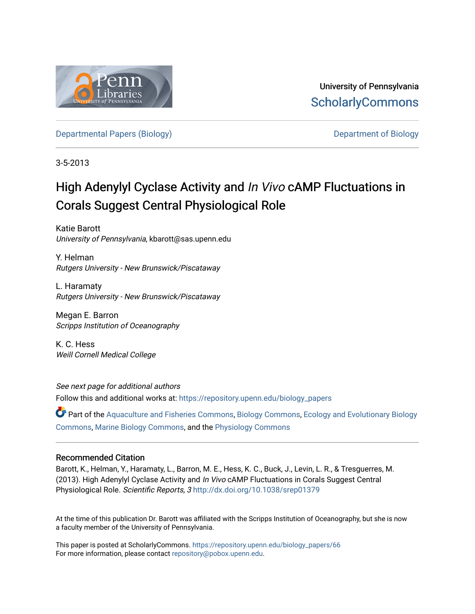

University of Pennsylvania **ScholarlyCommons** 

[Departmental Papers \(Biology\)](https://repository.upenn.edu/biology_papers) [Department of Biology](https://repository.upenn.edu/biology) 

3-5-2013

## High Adenylyl Cyclase Activity and In Vivo cAMP Fluctuations in Corals Suggest Central Physiological Role

Katie Barott University of Pennsylvania, kbarott@sas.upenn.edu

Y. Helman Rutgers University - New Brunswick/Piscataway

L. Haramaty Rutgers University - New Brunswick/Piscataway

Megan E. Barron Scripps Institution of Oceanography

K. C. Hess Weill Cornell Medical College

See next page for additional authors Follow this and additional works at: [https://repository.upenn.edu/biology\\_papers](https://repository.upenn.edu/biology_papers?utm_source=repository.upenn.edu%2Fbiology_papers%2F66&utm_medium=PDF&utm_campaign=PDFCoverPages) 

Part of the [Aquaculture and Fisheries Commons](http://network.bepress.com/hgg/discipline/78?utm_source=repository.upenn.edu%2Fbiology_papers%2F66&utm_medium=PDF&utm_campaign=PDFCoverPages), [Biology Commons](http://network.bepress.com/hgg/discipline/41?utm_source=repository.upenn.edu%2Fbiology_papers%2F66&utm_medium=PDF&utm_campaign=PDFCoverPages), [Ecology and Evolutionary Biology](http://network.bepress.com/hgg/discipline/14?utm_source=repository.upenn.edu%2Fbiology_papers%2F66&utm_medium=PDF&utm_campaign=PDFCoverPages)  [Commons](http://network.bepress.com/hgg/discipline/14?utm_source=repository.upenn.edu%2Fbiology_papers%2F66&utm_medium=PDF&utm_campaign=PDFCoverPages), [Marine Biology Commons](http://network.bepress.com/hgg/discipline/1126?utm_source=repository.upenn.edu%2Fbiology_papers%2F66&utm_medium=PDF&utm_campaign=PDFCoverPages), and the [Physiology Commons](http://network.bepress.com/hgg/discipline/69?utm_source=repository.upenn.edu%2Fbiology_papers%2F66&utm_medium=PDF&utm_campaign=PDFCoverPages)

### Recommended Citation

Barott, K., Helman, Y., Haramaty, L., Barron, M. E., Hess, K. C., Buck, J., Levin, L. R., & Tresguerres, M. (2013). High Adenylyl Cyclase Activity and In Vivo cAMP Fluctuations in Corals Suggest Central Physiological Role. Scientific Reports, 3 <http://dx.doi.org/10.1038/srep01379>

At the time of this publication Dr. Barott was affiliated with the Scripps Institution of Oceanography, but she is now a faculty member of the University of Pennsylvania.

This paper is posted at ScholarlyCommons. [https://repository.upenn.edu/biology\\_papers/66](https://repository.upenn.edu/biology_papers/66) For more information, please contact [repository@pobox.upenn.edu.](mailto:repository@pobox.upenn.edu)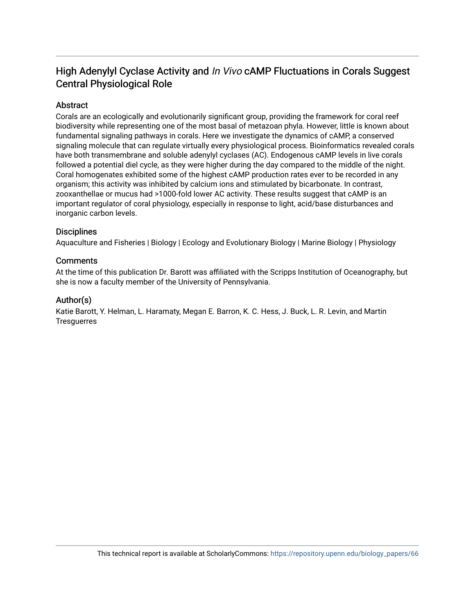### High Adenylyl Cyclase Activity and In Vivo cAMP Fluctuations in Corals Suggest Central Physiological Role

### Abstract

Corals are an ecologically and evolutionarily significant group, providing the framework for coral reef biodiversity while representing one of the most basal of metazoan phyla. However, little is known about fundamental signaling pathways in corals. Here we investigate the dynamics of cAMP, a conserved signaling molecule that can regulate virtually every physiological process. Bioinformatics revealed corals have both transmembrane and soluble adenylyl cyclases (AC). Endogenous cAMP levels in live corals followed a potential diel cycle, as they were higher during the day compared to the middle of the night. Coral homogenates exhibited some of the highest cAMP production rates ever to be recorded in any organism; this activity was inhibited by calcium ions and stimulated by bicarbonate. In contrast, zooxanthellae or mucus had >1000-fold lower AC activity. These results suggest that cAMP is an important regulator of coral physiology, especially in response to light, acid/base disturbances and inorganic carbon levels.

### **Disciplines**

Aquaculture and Fisheries | Biology | Ecology and Evolutionary Biology | Marine Biology | Physiology

### **Comments**

At the time of this publication Dr. Barott was affiliated with the Scripps Institution of Oceanography, but she is now a faculty member of the University of Pennsylvania.

### Author(s)

Katie Barott, Y. Helman, L. Haramaty, Megan E. Barron, K. C. Hess, J. Buck, L. R. Levin, and Martin **Tresquerres**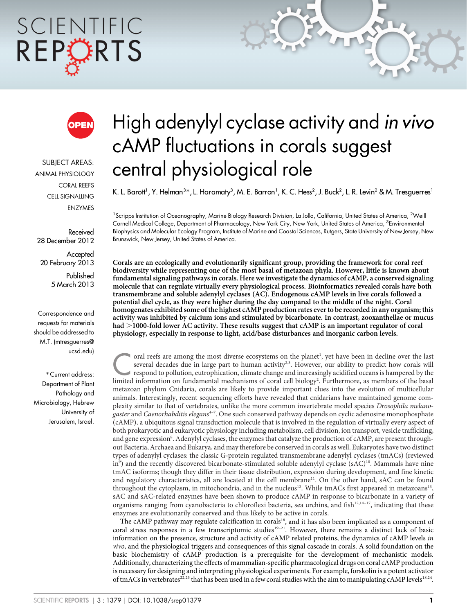# SCIENTIFIC REPORTS



SUBJECT AREAS: ANIMAL PHYSIOLOGY CORAL REEFS CELL SIGNALLING ENZYMES

Received 28 December 2012

**Accepted** 20 February 2013

> Published 5 March 2013

Correspondence and requests for materials should be addressed to M.T. (mtresguerres@ ucsd.edu)

\* Current address: Department of Plant Pathology and Microbiology, Hebrew University of Jerusalem, Israel.

## High adenylyl cyclase activity and in vivo cAMP fluctuations in corals suggest central physiological role

K. L. Barott<sup>1</sup>, Y. Helman<sup>3</sup>\*, L. Haramaty<sup>3</sup>, M. E. Barron<sup>1</sup>, K. C. Hess<sup>2</sup>, J. Buck<sup>2</sup>, L. R. Levin<sup>2</sup> & M. Tresguerres'

<sup>1</sup>Scripps Institution of Oceanography, Marine Biology Research Division, La Jolla, California, United States of America, <sup>2</sup>Weill Cornell Medical College, Department of Pharmacology, New York City, New York, United States of America, <sup>3</sup>Environmental Biophysics and Molecular Ecology Program, Institute of Marine and Coastal Sciences, Rutgers, State University of New Jersey, New Brunswick, New Jersey, United States of America.

Corals are an ecologically and evolutionarily significant group, providing the framework for coral reef biodiversity while representing one of the most basal of metazoan phyla. However, little is known about fundamental signaling pathways in corals. Here we investigate the dynamics of cAMP, a conserved signaling molecule that can regulate virtually every physiological process. Bioinformatics revealed corals have both transmembrane and soluble adenylyl cyclases (AC). Endogenous cAMP levels in live corals followed a potential diel cycle, as they were higher during the day compared to the middle of the night. Coral homogenates exhibited some of the highest cAMP production rates ever to be recorded in any organism; this activity was inhibited by calcium ions and stimulated by bicarbonate. In contrast, zooxanthellae or mucus had >1000-fold lower AC activity. These results suggest that cAMP is an important regulator of coral physiology, especially in response to light, acid/base disturbances and inorganic carbon levels.

The oral reefs are among the most diverse ecosystems on the planet<br>several decades due in large part to human activity<sup>2,3</sup>. However<br>respond to pollution, eutrophication, climate change and increasing<br>limited information oral reefs are among the most diverse ecosystems on the planet<sup>1</sup>, yet have been in decline over the last several decades due in large part to human activity<sup>2,3</sup>. However, our ability to predict how corals will respond to pollution, eutrophication, climate change and increasingly acidified oceans is hampered by the limited information on fundamental mechanisms of coral cell biology2 . Furthermore, as members of the basal metazoan phylum Cnidaria, corals are likely to provide important clues into the evolution of multicellular animals. Interestingly, recent sequencing efforts have revealed that cnidarians have maintained genome complexity similar to that of vertebrates, unlike the more common invertebrate model species Drosophila melanogaster and Caenorhabditis elegans<sup>4-7</sup>. One such conserved pathway depends on cyclic adenosine monophosphate (cAMP), a ubiquitous signal transduction molecule that is involved in the regulation of virtually every aspect of both prokaryotic and eukaryotic physiology including metabolism, cell division, ion transport, vesicle trafficking, and gene expression<sup>8</sup>. Adenylyl cyclases, the enzymes that catalyze the production of cAMP, are present throughout Bacteria, Archaea and Eukarya, and may therefore be conserved in corals as well. Eukaryotes have two distinct types of adenylyl cyclases: the classic G-protein regulated transmembrane adenylyl cyclases (tmACs) (reviewed in<sup>9</sup>) and the recently discovered bicarbonate-stimulated soluble adenylyl cyclase (sAC)<sup>10</sup>. Mammals have nine tmAC isoforms; though they differ in their tissue distribution, expression during development, and fine kinetic and regulatory characteristics, all are located at the cell membrane<sup>11</sup>. On the other hand, sAC can be found throughout the cytoplasm, in mitochondria, and in the nucleus<sup>12</sup>. While tmACs first appeared in metazoans<sup>13</sup>, sAC and sAC-related enzymes have been shown to produce cAMP in response to bicarbonate in a variety of organisms ranging from cyanobacteria to chloroflexi bacteria, sea urchins, and fish<sup>12,14-17</sup>, indicating that these enzymes are evolutionarily conserved and thus likely to be active in corals.

The cAMP pathway may regulate calcification in corals<sup>18</sup>, and it has also been implicated as a component of coral stress responses in a few transcriptomic studies<sup>19–21</sup>. However, there remains a distinct lack of basic information on the presence, structure and activity of cAMP related proteins, the dynamics of cAMP levels in vivo, and the physiological triggers and consequences of this signal cascade in corals. A solid foundation on the basic biochemistry of cAMP production is a prerequisite for the development of mechanistic models. Additionally, characterizing the effects of mammalian-specific pharmacological drugs on coral cAMP production is necessary for designing and interpreting physiological experiments. For example, forskolin is a potent activator of tmACs in vertebrates<sup>22,23</sup> that has been used in a few coral studies with the aim to manipulating cAMP levels<sup>18,24</sup>.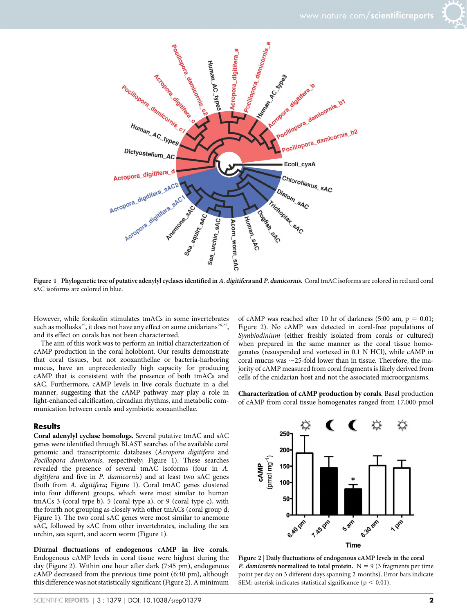



Figure 1 | Phylogenetic tree of putative adenylyl cyclases identified in A. digitifera and P. damicornis. Coral tmAC isoforms are colored in red and coral sAC isoforms are colored in blue.

However, while forskolin stimulates tmACs in some invertebrates such as mollusks<sup>25</sup>, it does not have any effect on some cnidarians<sup>26,27</sup>, and its effect on corals has not been characterized.

The aim of this work was to perform an initial characterization of cAMP production in the coral holobiont. Our results demonstrate that coral tissues, but not zooxanthellae or bacteria-harboring mucus, have an unprecedentedly high capacity for producing cAMP that is consistent with the presence of both tmACs and sAC. Furthermore, cAMP levels in live corals fluctuate in a diel manner, suggesting that the cAMP pathway may play a role in light-enhanced calcification, circadian rhythms, and metabolic communication between corals and symbiotic zooxanthellae.

### **Results**

Coral adenylyl cyclase homologs. Several putative tmAC and sAC genes were identified through BLAST searches of the available coral genomic and transcriptomic databases (Acropora digitifera and Pocillopora damicornis, respectively; Figure 1). These searches revealed the presence of several tmAC isoforms (four in A. digitifera and five in P. damicornis) and at least two sAC genes (both from A. digitifera; Figure 1). Coral tmAC genes clustered into four different groups, which were most similar to human tmACs 3 (coral type b), 5 (coral type a), or 9 (coral type c), with the fourth not grouping as closely with other tmACs (coral group d; Figure 1). The two coral sAC genes were most similar to anemone sAC, followed by sAC from other invertebrates, including the sea urchin, sea squirt, and acorn worm (Figure 1).

Diurnal fluctuations of endogenous cAMP in live corals. Endogenous cAMP levels in coral tissue were highest during the day (Figure 2). Within one hour after dark (7:45 pm), endogenous cAMP decreased from the previous time point (6:40 pm), although this difference was not statistically significant (Figure 2). A minimum

of cAMP was reached after 10 hr of darkness (5:00 am,  $p = 0.01$ ; Figure 2). No cAMP was detected in coral-free populations of Symbiodinium (either freshly isolated from corals or cultured) when prepared in the same manner as the coral tissue homogenates (resuspended and vortexed in 0.1 N HCl), while cAMP in coral mucus was  $\sim$ 25-fold lower than in tissue. Therefore, the majority of cAMP measured from coral fragments is likely derived from cells of the cnidarian host and not the associated microorganisms.

Characterization of cAMP production by corals. Basal production of cAMP from coral tissue homogenates ranged from 17,000 pmol



Figure 2 <sup>|</sup> Daily fluctuations of endogenous cAMP levels in the coral P. damicornis normalized to total protein.  $N = 9$  (3 fragments per time point per day on 3 different days spanning 2 months). Error bars indicate SEM; asterisk indicates statistical significance ( $p < 0.01$ ).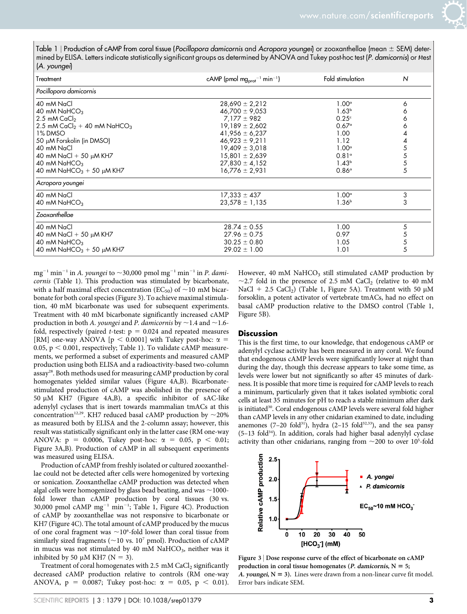Table 1 | Production of cAMP from coral tissue (Pocillopora damicornis and Acropora youngei) or zooxanthellae (mean  $\pm$  SEM) determined by ELISA. Letters indicate statistically significant groups as determined by ANOVA and Tukey post-hoc test (P. damicornis) or t-test (A. youngei)

| Treatment                                           | cAMP (pmol mg <sub>prot</sub> <sup>-1</sup> min <sup>-1</sup> ) | Fold stimulation  | N |
|-----------------------------------------------------|-----------------------------------------------------------------|-------------------|---|
| Pocillopora damicornis                              |                                                                 |                   |   |
| 40 mM NaCl                                          | $28,690 \pm 2,212$                                              | $1.00^\circ$      | 6 |
| 40 mM $N$ aHCO <sub>3</sub>                         | $46,700 \pm 9,053$                                              | 1.63 <sup>b</sup> |   |
| 2.5 mM $CaCl2$                                      | $7.177 \pm 982$                                                 | 0.25c             |   |
| 2.5 mM CaCl <sub>2</sub> + 40 mM NaHCO <sub>3</sub> | $19,189 \pm 2,602$                                              | $0.67^{\circ}$    |   |
| 1% DMSO                                             | $41,956 \pm 6,237$                                              | 1.00              |   |
| 50 µM Forskolin (in DMSO)                           | $46,923 \pm 9,211$                                              | 1.12              |   |
| 40 mM NaCl                                          | $19,409 \pm 3,018$                                              | 1.00 <sup>a</sup> |   |
| 40 mM NaCl + 50 $\mu$ M KH7                         | $15,801 \pm 2,639$                                              | 0.81°             |   |
| 40 mM NaHCO <sub>3</sub>                            | $27,830 \pm 4,152$                                              | 1.43 <sup>b</sup> | 5 |
| 40 mM NaHCO <sub>3</sub> + 50 $\mu$ M KH7           | $16,776 \pm 2,931$                                              | $0.86^\circ$      | 5 |
| Acropora youngei                                    |                                                                 |                   |   |
| 40 mM NaCl                                          | $17,333 \pm 437$                                                | $1.00^\circ$      | 3 |
| 40 mM $N$ aHCO <sub>3</sub>                         | $23,578 \pm 1,135$                                              | 1.36 <sup>b</sup> | 3 |
| Zooxanthellae                                       |                                                                 |                   |   |
| 40 mM NaCl                                          | $28.74 \pm 0.55$                                                | 1.00              | 5 |
| 40 mM NaCl + 50 $\mu$ M KH7                         | $27.96 \pm 0.75$                                                | 0.97              |   |
| 40 mM $N$ aHCO <sub>3</sub>                         | $30.25 \pm 0.80$                                                | 1.05              | 5 |
| 40 mM NaHCO <sub>3</sub> + 50 $\mu$ M KH7           | $29.02 \pm 1.00$                                                | 1.01              | 5 |

mg<sup>-1</sup> min<sup>-1</sup> in A. youngei to  $\sim$ 30,000 pmol mg<sup>-1</sup> min<sup>-1</sup> in P. damicornis (Table 1). This production was stimulated by bicarbonate, with a half maximal effect concentration (EC<sub>50</sub>) of  $\sim$ 10 mM bicarbonate for both coral species (Figure 3). To achieve maximal stimulation, 40 mM bicarbonate was used for subsequent experiments. Treatment with 40 mM bicarbonate significantly increased cAMP production in both A. youngei and P. damicornis by  $\sim$  1.4 and  $\sim$  1.6fold, respectively (paired *t*-test:  $p = 0.024$  and repeated measures [RM] one-way ANOVA [ $p < 0.0001$ ] with Tukey post-hoc:  $\alpha$  = 0.05,  $p < 0.001$ , respectively; Table 1). To validate cAMP measurements, we performed a subset of experiments and measured cAMP production using both ELISA and a radioactivity-based two-column assay28. Both methods used for measuring cAMP production by coral homogenates yielded similar values (Figure 4A,B). Bicarbonatestimulated production of cAMP was abolished in the presence of 50  $\mu$ M KH7 (Figure 4A,B), a specific inhibitor of sAC-like adenylyl cyclases that is inert towards mammalian tmACs at this concentration<sup>12,29</sup>. KH7 reduced basal cAMP production by  $\sim$ 20% as measured both by ELISA and the 2-column assay; however, this result was statistically significant only in the latter case (RM one-way ANOVA:  $p = 0.0006$ , Tukey post-hoc:  $\alpha = 0.05$ ,  $p < 0.01$ ; Figure 3A,B). Production of cAMP in all subsequent experiments was measured using ELISA.

Production of cAMP from freshly isolated or cultured zooxanthellae could not be detected after cells were homogenized by vortexing or sonication. Zooxanthellae cAMP production was detected when algal cells were homogenized by glass bead beating, and was  $\sim$ 1000fold lower than cAMP production by coral tissues (30 vs. 30,000 pmol cAMP  $mg^{-1}$  min<sup>-1</sup>; Table 1, Figure 4C). Production of cAMP by zooxanthellae was not responsive to bicarbonate or KH7 (Figure 4C). The total amount of cAMP produced by the mucus of one coral fragment was  $\sim$ 10<sup>6</sup>-fold lower than coral tissue from similarly sized fragments ( $\sim$ 10 vs. 10<sup>7</sup> pmol). Production of cAMP in mucus was not stimulated by 40 mM  $NaHCO<sub>3</sub>$ , neither was it inhibited by 50  $\mu$ M KH7 (N = 3).

Treatment of coral homogenates with  $2.5 \text{ mM }$  CaCl<sub>2</sub> significantly decreased cAMP production relative to controls (RM one-way ANOVA,  $p = 0.0087$ ; Tukey post-hoc:  $\alpha = 0.05$ ,  $p < 0.01$ ). However, 40 mM  $NAHCO<sub>3</sub>$  still stimulated cAMP production by  $\sim$ 2.7 fold in the presence of 2.5 mM CaCl<sub>2</sub> (relative to 40 mM NaCl + 2.5 CaCl<sub>2</sub>) (Table 1, Figure 5A). Treatment with 50  $\mu$ M forsoklin, a potent activator of vertebrate tmACs, had no effect on basal cAMP production relative to the DMSO control (Table 1, Figure 5B).

### **Discussion**

This is the first time, to our knowledge, that endogenous cAMP or adenylyl cyclase activity has been measured in any coral. We found that endogenous cAMP levels were significantly lower at night than during the day, though this decrease appears to take some time, as levels were lower but not significantly so after 45 minutes of darkness. It is possible that more time is required for cAMP levels to reach a minimum, particularly given that it takes isolated symbiotic coral cells at least 35 minutes for pH to reach a stable minimum after dark is initiated<sup>30</sup>. Coral endogenous cAMP levels were several fold higher than cAMP levels in any other cnidarian examined to date, including anemones (7-20 fold<sup>31</sup>), hydra (2-15 fold<sup>32,33</sup>), and the sea pansy  $(5-13 \text{ fold}^{34})$ . In addition, corals had higher basal adenylyl cyclase activity than other cnidarians, ranging from  $\sim$  200 to over 10<sup>5</sup>-fold



Figure 3 <sup>|</sup> Dose response curve of the effect of bicarbonate on cAMP production in coral tissue homogenates (*P. damicornis*,  $N = 5$ ; A. youngei,  $N = 3$ ). Lines were drawn from a non-linear curve fit model. Error bars indicate SEM.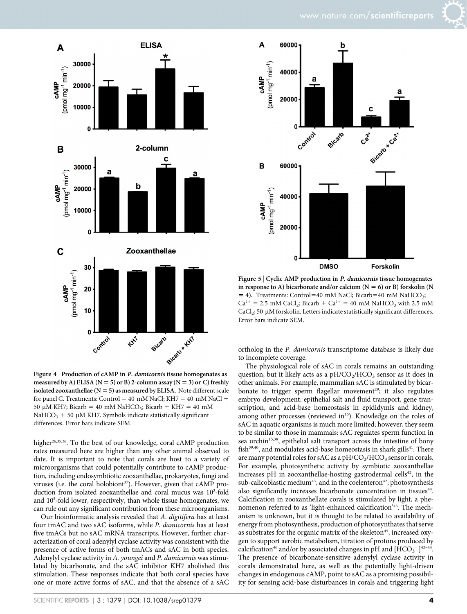

Figure 4 | Production of cAMP in P. damicornis tissue homogenates as measured by A) ELISA ( $N = 5$ ) or B) 2-column assay ( $N = 3$ ) or C) freshly isolated zooxanthellae ( $N = 5$ ) as measured by ELISA. Note different scale for panel C. Treatments: Control = 40 mM NaCl; KH7 = 40 mM NaCl + 50 µM KH7; Bicarb = 40 mM NaHCO<sub>3</sub>; Bicarb + KH7 = 40 mM NaHCO<sub>3</sub> + 50  $\mu$ M KH7. Symbols indicate statistically significant differences. Error bars indicate SEM.

higher<sup>26,35,36</sup>. To the best of our knowledge, coral cAMP production rates measured here are higher than any other animal observed to date. It is important to note that corals are host to a variety of microorganisms that could potentially contribute to cAMP production, including endosymbtiotic zooxanthellae, prokaryotes, fungi and viruses (i.e. the coral holobiont<sup>37</sup>). However, given that cAMP production from isolated zooxanthellae and coral mucus was 10<sup>3</sup>-fold and 105 -fold lower, respectively, than whole tissue homogenates, we can rule out any significant contribution from these microorganisms.

Our bioinformatic analysis revealed that A. digitifera has at least four tmAC and two sAC isoforms, while P. damicornis has at least five tmACs but no sAC mRNA transcripts. However, further characterization of coral adenylyl cyclase activity was consistent with the presence of active forms of both tmACs and sAC in both species. Adenylyl cyclase activity in A. youngei and P. damicornis was stimulated by bicarbonate, and the sAC inhibitor KH7 abolished this stimulation. These responses indicate that both coral species have one or more active forms of sAC, and that the absence of a sAC



Figure 5 <sup>|</sup> Cyclic AMP production in P. damicornis tissue homogenates in response to A) bicarbonate and/or calcium ( $N = 6$ ) or B) forskolin (N  $=$  4). Treatments: Control=40 mM NaCl; Bicarb=40 mM NaHCO<sub>3</sub>;  $Ca^{2+} = 2.5$  mM CaCl<sub>2</sub>; Bicarb + Ca<sup>2+</sup> = 40 mM NaHCO<sub>3</sub> with 2.5 mM  $CaCl<sub>2</sub>$ ; 50 µM forskolin. Letters indicate statistically significant differences. Error bars indicate SEM.

ortholog in the P. damicornis transcriptome database is likely due to incomplete coverage.

The physiological role of sAC in corals remains an outstanding question, but it likely acts as a  $pH/CO<sub>2</sub>/HCO<sub>3</sub>$  sensor as it does in other animals. For example, mammalian sAC is stimulated by bicarbonate to trigger sperm flagellar movement<sup>29</sup>; it also regulates embryo development, epithelial salt and fluid transport, gene transcription, and acid-base homeostasis in epididymis and kidney, among other processes (reviewed in<sup>16</sup>). Knowledge on the roles of sAC in aquatic organisms is much more limited; however, they seem to be similar to those in mammals: sAC regulates sperm function in sea urchin<sup>15,38</sup>, epithelial salt transport across the intestine of bony fish<sup>39,40</sup>, and modulates acid-base homeostasis in shark gills<sup>41</sup>. There are many potential roles for sAC as a  $pH/CO<sub>2</sub>/HCO<sub>3</sub>$  sensor in corals. For example, photosynthetic activity by symbiotic zooxanthellae increases pH in zooxanthellae-hosting gastrodermal cells<sup>42</sup>, in the sub-calicoblastic medium<sup>43</sup>, and in the coelenteron<sup>42</sup>; photosynthesis also significantly increases bicarbonate concentration in tissues<sup>44</sup>. Calcification in zooxanthellate corals is stimulated by light, a phenomenon referred to as 'light-enhanced calcification'45. The mechanism is unknown, but it is thought to be related to availability of energy from photosynthesis, production of photosynthates that serve as substrates for the organic matrix of the skeleton<sup>45</sup>, increased oxygen to support aerobic metabolism, titration of protons produced by calcification<sup>46</sup> and/or by associated changes in pH and  $[HCO_3^{-}]^{42-44}$ . The presence of bicarbonate-sensitive adenylyl cyclase activity in corals demonstrated here, as well as the potentially light-driven changes in endogenous cAMP, point to sAC as a promising possibility for sensing acid-base disturbances in corals and triggering light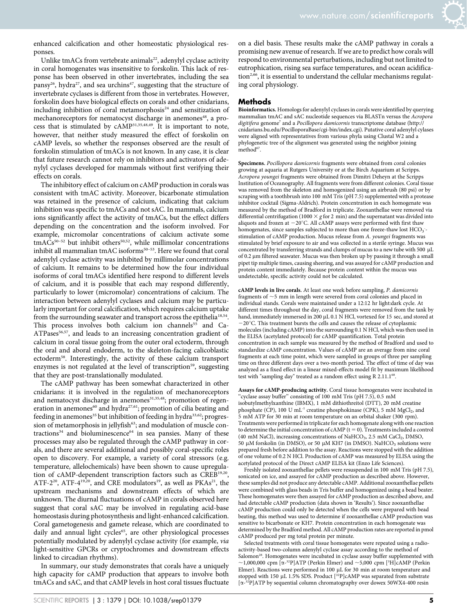

Unlike tmACs from vertebrate animals<sup>22</sup>, adenylyl cyclase activity in coral homogenates was insensitive to forskolin. This lack of response has been observed in other invertebrates, including the sea pansy<sup>26</sup>, hydra<sup>27</sup>, and sea urchins<sup>47</sup>, suggesting that the structure of invertebrate cyclases is different from those in vertebrates. However, forskolin does have biological effects on corals and other cnidarians, including inhibition of coral metamorphosis $24$  and sensitization of mechanoreceptors for nematocyst discharge in anemones<sup>48</sup>, a process that is stimulated by  $cAMP^{31,35,48,49}$ . It is important to note, however, that neither study measured the effect of forskolin on cAMP levels, so whether the responses observed are the result of forskolin stimulation of tmACs is not known. In any case, it is clear that future research cannot rely on inhibitors and activators of adenylyl cyclases developed for mammals without first verifying their effects on corals.

The inhibitory effect of calcium on cAMP production in corals was consistent with tmAC activity. Moreover, bicarbonate stimulation was retained in the presence of calcium, indicating that calcium inhibition was specific to tmACs and not sAC. In mammals, calcium ions significantly affect the activity of tmACs, but the effect differs depending on the concentration and the isoform involved. For example, micromolar concentrations of calcium activate some  $tmACs<sup>50-52</sup>$  but inhibit others<sup>50,52</sup>, while millimolar concentrations inhibit all mammalian tmAC isoforms<sup>50-53</sup>. Here we found that coral adenylyl cyclase activity was inhibited by millimolar concentrations of calcium. It remains to be determined how the four individual isoforms of coral tmACs identified here respond to different levels of calcium, and it is possible that each may respond differently, particularly to lower (micromolar) concentrations of calcium. The interaction between adenylyl cyclases and calcium may be particularly important for coral calcification, which requires calcium uptake from the surrounding seawater and transport across the epithelia<sup>18,54</sup>. This process involves both calcium ion channels<sup>55</sup> and Ca-ATPases<sup>56,57</sup>, and leads to an increasing concentration gradient of calcium in coral tissue going from the outer oral ectoderm, through the oral and aboral endoderm, to the skeleton-facing calicoblastic ectoderm58. Interestingly, the activity of these calcium transport enzymes is not regulated at the level of transcription<sup>59</sup>, suggesting that they are post-translationally modulated.

The cAMP pathway has been somewhat characterized in other cnidarians: it is involved in the regulation of mechanoreceptors and nematocyst discharge in anemones<sup>31,35,48</sup>; promotion of regeneration in anemones<sup>60</sup> and hydra<sup>27,61</sup>; promotion of cilia beating and feeding in anemones<sup>35</sup> but inhibition of feeding in hydra<sup>33,62</sup>; progression of metamorphosis in jellyfish<sup>63</sup>; and modulation of muscle contractions<sup>34</sup> and bioluminescence<sup>64</sup> in sea pansies. Many of these processes may also be regulated through the cAMP pathway in corals, and there are several additional and possibly coral-specific roles open to discovery. For example, a variety of coral stressors (e.g. temperature, allelochemicals) have been shown to cause upregulation of cAMP-dependent transcription factors such as CREB<sup>19,20</sup>, ATF-2<sup>20</sup>, ATF-4<sup>19,20</sup>, and CRE modulators<sup>19</sup>, as well as PKAs<sup>21</sup>, the upstream mechanisms and downstream effects of which are unknown. The diurnal fluctuations of cAMP in corals observed here suggest that coral sAC may be involved in regulating acid-base homeostasis during photosynthesis and light-enhanced calcification. Coral gametogenesis and gamete release, which are coordinated to daily and annual light cycles<sup>65</sup>, are other physiological processes potentially modulated by adenylyl cyclase activity (for example, via light-sensitive GPCRs or cryptochromes and downstream effects linked to circadian rhythms).

In summary, our study demonstrates that corals have a uniquely high capacity for cAMP production that appears to involve both tmACs and sAC, and that cAMP levels in host coral tissues fluctuate on a diel basis. These results make the cAMP pathway in corals a promising new avenue of research. If we are to predict how corals will respond to environmental perturbations, including but not limited to eutrophication, rising sea surface temperatures, and ocean acidification<sup>2,66</sup>, it is essential to understand the cellular mechanisms regulating coral physiology.

#### Methods

Bioinformatics. Homologs for adenylyl cyclases in corals were identified by querying mammalian tmAC and sAC nucleotide sequences via BLASTn versus the Acropora digitifera genome<sup>7</sup> and a *Pocillopora damicornis* transcriptome database [\(http://](http://cnidarians.bu.edu/PocilloporaBase/cgi-bin/index.cgi) [cnidarians.bu.edu/PocilloporaBase/cgi-bin/index.cgi\)](http://cnidarians.bu.edu/PocilloporaBase/cgi-bin/index.cgi). Putative coral adenylyl cylases were aligned with representatives from various phyla using Clustal W2 and a phylogenetic tree of the alignment was generated using the neighbor joining method<sup>67</sup>.

Specimens. Pocillopora damicornis fragments were obtained from coral colonies growing at aquaria at Rutgers University or at the Birch Aquarium at Scripps. Acropora youngei fragments were obtained from Dimitri Deheyn at the Scripps Institution of Oceanography. All fragments were from different colonies. Coral tissue was removed from the skeleton and homogenized using an airbrush (80 psi) or by scraping with a toothbrush into 100 mM Tris (pH 7.5) supplemented with a protease inhibitor cocktail (Sigma-Aldrich). Protein concentration in each homogenate was measured by the method of Bradford in triplicate. Zooxanthellae were removed via differential centrifugation (1000  $\times$  g for 2 min) and the supernatant was divided into aliquots and frozen at  $-20^{\circ}$ C. All cAMP assays were performed with first thaw homogenates, since samples subjected to more than one freeze-thaw lost  $HCO_3$ . stimulation of cAMP production. Mucus release from A. youngei fragments was stimulated by brief exposure to air and was collected in a sterile syringe. Mucus was concentrated by transferring strands and clumps of mucus to a new tube with 500 µL of 0.2 um filtered seawater. Mucus was then broken up by passing it through a small pipet tip multiple times, causing sheering, and was assayed for cAMP production and protein content immediately. Because protein content within the mucus was undetectable, specific activity could not be calculated.

cAMP levels in live corals. At least one week before sampling, P. damicornis fragments of  $\sim$  5 mm in length were severed from coral colonies and placed in individual stands. Corals were maintained under a 12:12 hr light:dark cycle. At different times throughout the day, coral fragments were removed from the tank by hand, immediately immersed in 200 µL 0.1 N HCl, vortexed for 15 sec, and stored at -20°C. This treatment bursts the cells and causes the release of cytoplasmic molecules (including cAMP) into the surrounding 0.1 N HCl, which was then used in the ELISA (acetylated protocol) for cAMP quantification. Total protein concentration in each sample was measured by the method of Bradford and used to standardize cAMP concentration. Values of cAMP are an average from nine coral fragments at each time point, which were sampled in groups of three per sampling time on three different days over a two-month period. The effect of time of day was analyzed as a fixed effect in a linear mixed-effects model fit by maximum likelihood test with "sampling day" treated as a random effect using R 2.11.1<sup>68</sup>.

Assays for cAMP-producing activity. Coral tissue homogenates were incubated in "cyclase assay buffer" consisting of 100 mM Tris (pH 7.5), 0.5 mM isobutylmethylxanthine (IBMX), 1 mM dithiothreitol (DTT), 20 mM creatine phosphate (CP), 100 U mL<sup>-1</sup> creatine phosphokinase (CPK), 5 mM MgCl<sub>2</sub>, and 5 mM ATP for 30 min at room temperature on an orbital shaker (300 rpm). Treatments were performed in triplicate for each homogenate along with one reaction to determine the initial concentration of cAMP ( $t = 0$ ). Treatments included a control (40 mM NaCl), increasing concentrations of NaHCO<sub>3</sub>, 2.5 mM CaCl<sub>2</sub>, DMSO, 50 μM forskolin (in DMSO), or 50 μM KH7 (in DMSO). NaHCO<sub>3</sub> solutions were prepared fresh before addition to the assay. Reactions were stopped with the addition of one volume of 0.2 N HCl. Production of cAMP was measured by ELISA using the acetylated protocol of the Direct cAMP ELISA kit (Enzo Life Sciences).

Freshly isolated zooxanthellae pellets were resuspended in 100 mM Tris (pH 7.5), sonicated on ice, and assayed for cAMP production as described above. However, these samples did not produce any detectable cAMP. Additional zooxanthellae pellets were combined with glass beads in Tris buffer and homogenized using a bead beater. These homogenates were then assayed for cAMP production as described above, and had detectable cAMP production (data shown in 'Results'). Since zooxanthellae cAMP production could only be detected when the cells were prepared with bead beating, this method was used to determine if zooxanthellae cAMP production was sensitive to bicarbonate or KH7. Protein concentration in each homogenate was determined by the Bradford method. All cAMP production rates are reported in pmol cAMP produced per mg total protein per minute.

Selected treatments with coral tissue homogenates were repeated using a radioactivity-based two-column adenylyl cyclase assay according to the method of Salomon<sup>28</sup>. Homogenates were incubated in cyclase assay buffer supplemented with ~1,000,000 cpm [ $\alpha$ <sup>-32</sup>P]ATP (Perkin Elmer) and ~5,000 cpm [<sup>3</sup>H]cAMP (Perkin Elmer). Reactions were performed in 100 µL for 30 min at room temperature and stopped with 150 µL 1.5% SDS. Product [<sup>32</sup>P]cAMP was separated from substrate [a-32P]ATP by sequential column chromatography over dowex 50WX4-400 resin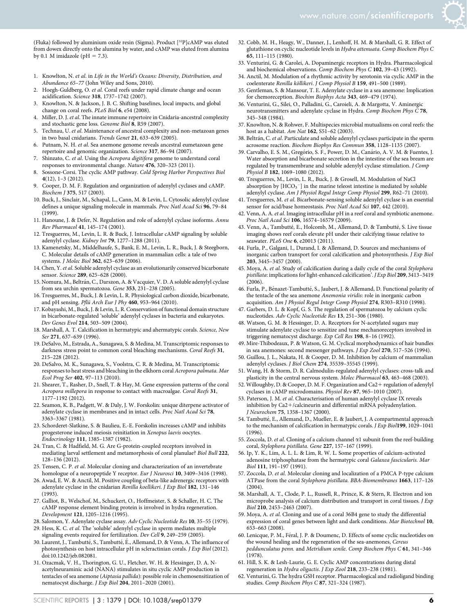(Fluka) followed by aluminium oxide resin (Sigma). Product [32P]cAMP was eluted from dowex directly onto the alumina by water, and cAMP was eluted from alumina by 0.1 M imidazole (pH  $= 7.3$ ).

- 1. Knowlton, N. et al. in Life in the World's Oceans: Diversity, Distribution, and Abundance 65–77 (John Wiley and Sons, 2010).
- Hoegh-Guldberg, O. et al. Coral reefs under rapid climate change and ocean acidification. Science 318, 1737–1742 (2007).
- 3. Knowlton, N. & Jackson, J. B. C. Shifting baselines, local impacts, and global change on coral reefs. PLoS Biol 6, e54 (2008).
- 4. Miller, D. J. et al. The innate immune repertoire in Cnidaria-ancestral complexity and stochastic gene loss. Genome Biol 8, R59 (2007).
- 5. Technau, U. et al. Maintenance of ancestral complexity and non-metazoan genes in two basal cnidarians. Trends Genet 21, 633–639 (2005).
- 6. Putnam, N. H. et al. Sea anemone genome reveals ancestral eumetazoan gene repertoire and genomic organization. Science 317, 86–94 (2007).
- 7. Shinzato, C. et al. Using the Acropora digitifera genome to understand coral responses to environmental change. Nature 476, 320–323 (2011).
- 8. Sossone-Corsi. The cyclic AMP pathway. Cold Spring Harbor Perspectives Biol  $4(12)$ ,  $1-3(2012)$ .
- 9. Cooper, D. M. F. Regulation and organization of adenylyl cyclases and cAMP. Biochem J 375, 517 (2003).
- 10. Buck, J., Sinclair, M., Schapal, L., Cann, M. & Levin, L. Cytosolic adenylyl cyclase defines a unique signaling molecule in mammals. Proc Natl Acad Sci 96, 79–84 (1999).
- 11. Hanoune, J. & Defer, N. Regulation and role of adenylyl cyclase isoforms. Annu Rev Pharmacol 41, 145–174 (2001).
- 12. Tresguerres, M., Levin, L. R. & Buck, J. Intracellular cAMP signaling by soluble adenylyl cyclase. Kidney Int 79, 1277–1288 (2011).
- 13. Kamenetsky, M., Middelhaufe, S., Bank, E. M., Levin, L. R., Buck, J. & Steegborn, C. Molecular details of cAMP generation in mammalian cells: a tale of two systems. J Molec Biol 362, 623–639 (2006).
- 14. Chen, Y. et al. Soluble adenylyl cyclase as an evolutionarily conserved bicarbonate sensor. Science 289, 625–628 (2000).
- 15. Nomura, M., Beltrán, C., Darszon, A. & Vacquier, V. D. A soluble adenylyl cyclase from sea urchin spermatozoa. Gene 353, 231–238 (2005).
- 16. Tresguerres, M., Buck, J. & Levin, L. R. Physiological carbon dioxide, bicarbonate, and pH sensing. Pflü Arch Eur J Phy 460, 953-964 (2010).
- 17. Kobayashi, M., Buck, J. & Levin, L. R. Conservation of functional domain structure in bicarbonate-regulated 'soluble' adenylyl cyclases in bacteria and eukaryotes. Dev Genes Evol 214, 503–509 (2004).
- 18. Marshall, A. T. Calcification in hermatypic and ahermatypic corals. Science, New Ser 271, 637–639 (1996).
- 19. DeSalvo, M., Estrada, A., Sunagawa, S. & Medina, M. Transcriptomic responses to darkness stress point to common coral bleaching mechanisms. Coral Reefs 31, 215–228 (2012).
- 20. DeSalvo, M. K., Sunagawa, S., Voolstra, C. R. & Medina, M. Transcriptomic responses to heat stress and bleaching in the elkhorn coral Acropora palmata. Mar Ecol Prog Ser 402, 97–113 (2010).
- 21. Shearer, T., Rasher, D., Snell, T. & Hay, M. Gene expression patterns of the coral Acropora millepora in response to contact with macroalgae. Coral Reefs 31, 1177–1192 (2012).
- 22. Seamon, K. B., Padgett, W. & Daly, J. W. Forskolin: unique diterpene activator of adenylate cyclase in membranes and in intact cells. Proc Natl Acad Sci 78, 3363–3367 (1981).
- 23. Schorderet-Slatkine, S. & Baulieu, E.-E. Forskolin increases cAMP and inhibits progesterone induced meiosis reinitiation in Xenopus laevis oocytes. Endocrinology 111, 1385–1387 (1982).
- 24. Tran, C. & Hadfield, M. G. Are G-protein-coupled receptors involved in mediating larval settlement and metamorphosis of coral planulae? Biol Bull 222, 128–136 (2012).
- 25. Tensen, C. P. et al. Molecular cloning and characterization of an invertebrate homologue of a neuropeptide Y receptor. Eur J Neurosci 10, 3409-3416 (1998).
- 26. Awad, E. W. & Anctil, M. Positive coupling of beta-like adrenergic receptors with adenylate cyclase in the cnidarian Renilla koellikeri. J Exp Biol 182, 131–146 (1993).
- 27. Galliot, B., Welschof, M., Schuckert, O., Hoffmeister, S. & Schaller, H. C. The cAMP response element binding protein is involved in hydra regeneration. Development 121, 1205–1216 (1995).
- 28. Salomon, Y. Adenylate cyclase assay. Adv Cyclic Nucleotide Res 10, 35–55 (1979).
- 29. Hess, K. C. et al. The 'soluble' adenylyl cyclase in sperm mediates multiple signaling events required for fertilization. Dev Cell 9, 249–259 (2005).
- 30. Laurent, J., Tambutté, S., Tambutté, É., Allemand, D. & Venn, A. The influence of photosynthesis on host intracellular pH in scleractinian corals. J Exp Biol (2012). doi:10.1242/jeb.082081.
- 31. Ozacmak, V. H., Thorington, G. U., Fletcher, W. H. & Hessinger, D. A. Nacetylneuraminic acid (NANA) stimulates in situ cyclic AMP production in tentacles of sea anemone (Aiptasia pallida): possible role in chemosensitization of nematocyst discharge. J Exp Biol 204, 2011–2020 (2001).
- 32. Cobb, M. H., Heagy, W., Danner, J., Lenhoff, H. M. & Marshall, G. R. Effect of glutathione on cyclic nucleotide levels in Hydra attenuata. Comp Biochem Phys C 65, 111–115 (1980).
- 33. Venturini, G. & Carolei, A. Dopaminergic receptors in Hydra. Pharmacological and biochemical observations. Comp Biochem Phys C 102, 39–43 (1992).
- 34. Anctil, M. Modulation of a rhythmic activity by serotonin via cyclic AMP in the coelenterate Renilla köllikeri. J Comp Physiol B 159, 491-500 (1989).
- 35. Gentleman, S. & Mansour, T. E. Adenylate cyclase in a sea anemone: Implication for chemoreception. Biochim Biophys Acta 343, 469–479 (1974).
- 36. Venturini, G., Silei, O., Palladini, G., Caroieli, A. & Margotta, V. Aminergic neurotransmitters and adenylate cyclase in Hydra. Comp Biochem Phys C 78, 345–348 (1984).
- 37. Knowlton, N. & Rohwer, F. Multispecies microbial mutualisms on coral reefs: the host as a habitat. Am Nat 162, S51–62 (2003).
- 38. Beltrán, C. et al. Particulate and soluble adenylyl cyclases participate in the sperm acrosome reaction. Biochem Biophys Res Commun 358, 1128–1135 (2007).
- 39. Carvalho, E. S. M., Gregório, S. F., Power, D. M., Canário, A. V. M. & Fuentes, J. Water absorption and bicarbonate secretion in the intestine of the sea bream are regulated by transmembrane and soluble adenylyl cyclase stimulation. J Comp Physiol B 182, 1069–1080 (2012).
- 40. Tresguerres, M., Levin, L. R., Buck, J. & Grosell, M. Modulation of NaCl absorption by  $[\text{HCO}_3^-]$  in the marine teleost intestine is mediated by soluble adenylyl cyclase. Am J Physiol Regul Integr Comp Physiol 299, R62–71 (2010).
- 41. Tresguerres, M. et al. Bicarbonate-sensing soluble adenylyl cyclase is an essential sensor for acid/base homeostasis. Proc Natl Acad Sci 107, 442 (2010).
- 42. Venn, A. A. et al. Imaging intracellular pH in a reef coral and symbiotic anemone. Proc Natl Acad Sci 106, 16574–16579 (2009).
- 43. Venn, A., Tambutté, E., Holcomb, M., Allemand, D. & Tambutté, S. Live tissue imaging shows reef corals elevate pH under their calcifying tissue relative to seawater. PLoS One 6, e20013 (2011).
- 44. Furla, P., Galgani, I., Durand, I. & Allemand, D. Sources and mechanisms of inorganic carbon transport for coral calcification and photosynthesis. J Exp Biol 203, 3445–3457 (2000).
- 45. Moya, A. et al. Study of calcification during a daily cycle of the coral Stylophora pistillata: implications for light-enhanced calcification'. J Exp Biol 209, 3413-3419 (2006).
- 46. Furla, P., Bénazet-Tambutté, S., Jaubert, J. & Allemand, D. Functional polarity of the tentacle of the sea anemone Anemonia viridis: role in inorganic carbon acquisition. Am J Physiol Regul Integr Comp Physiol 274, R303–R310 (1998).
- 47. Garbers, D. L. & Kopf, G. S. The regulation of spermatozoa by calcium cyclic nucleotides. Adv Cyclic Nucleotide Res 13, 251–306 (1980).
- 48. Watson, G. M. & Hessinger, D. A. Receptors for N-acetylated sugars may stimulate adenylate cyclase to sensitize and tune mechanoreceptors involved in triggering nematocyst discharge. Exp Cell Res 198, 8–16 (1992).
- 49. Mire-Thibodeaux, P. & Watson, G. M. Cyclical morphodynamics of hair bundles in sea anemones: second messenger pathways. J Exp Zool 270, 517–526 (1994).
- 50. Guillou, J. L., Nakata, H. & Cooper, D. M. Inhibition by calcium of mammalian adenylyl cyclases. J Biol Chem 274, 35539–35545 (1999).
- 51. Wang, H. & Storm, D. R. Calmodulin-regulated adenylyl cyclases: cross-talk and plasticity in the central nervous system. Molec Pharmacol 63, 463–468 (2003).
- 52. Willoughby, D. & Cooper, D. M. F. Organization and Ca2+ regulation of adenylyl cyclases in cAMP microdomains. Physiol Rev 87, 965–1010 (2007).
- 53. Paterson, J. M. et al. Characterisation of human adenylyl cyclase IX reveals inhibition by  $Ca2+$ /calcineurin and differential mRNA polyadenylation. J Neurochem 75, 1358–1367 (2000).
- 54. Tambutté, E., Allemand, D., Mueller, E. & Jaubert, J. A compartmental approach to the mechanism of calcification in hermatypic corals. J Exp Biol199, 1029–1041 (1996).
- 55. Zoccola, D. et al. Cloning of a calcium channel  $\alpha$ 1 subunit from the reef-building coral, Stylophora pistillata. Gene 227, 157–167 (1999).
- 56. Ip, Y. K., Lim, A. L. L. & Lim, R. W. L. Some properties of calcium-activated adenosine triphosphatase from the hermatypic coral Galaxea fascicularis. Mar Biol 111, 191–197 (1991).
- 57. Zoccola, D. et al. Molecular cloning and localization of a PMCA P-type calcium ATPase from the coral Stylophora pistillata. BBA-Biomembranes 1663, 117–126  $(2004)$
- 58. Marshall, A. T., Clode, P. L., Russell, R., Prince, K. & Stern, R. Electron and ion microprobe analysis of calcium distribution and transport in coral tissues. J Exp Biol 210, 2453–2463 (2007).
- 59. Moya, A. et al. Cloning and use of a coral 36B4 gene to study the differential expression of coral genes between light and dark conditions. Mar Biotechnol 10, 653–663 (2008).
- 60. Lenicque, P. M., Féral, J. P. & Doumenc, D. Effects of some cyclic nucleotides on the wound healing and the regeneration of the sea-anemones, Cereus peddunculatus penn. and Metridium senile. Comp Biochem Phys C 61, 341–346 (1978).
- 61. Hill, S. K. & Lesh-Laurie, G. E. Cyclic AMP concentrations during distal regeneration in Hydra oligactis. J Exp Zool 218, 233–238 (1981).
- 62. Venturini, G. The hydra GSH receptor. Pharmacological and radioligand binding studies. Comp Biochem Phys C 87, 321–324 (1987).